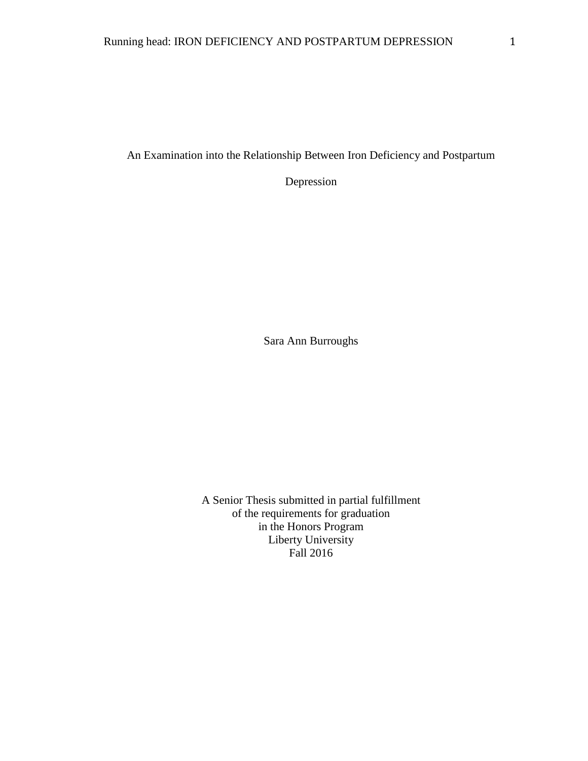An Examination into the Relationship Between Iron Deficiency and Postpartum

Depression

Sara Ann Burroughs

A Senior Thesis submitted in partial fulfillment of the requirements for graduation in the Honors Program Liberty University Fall 2016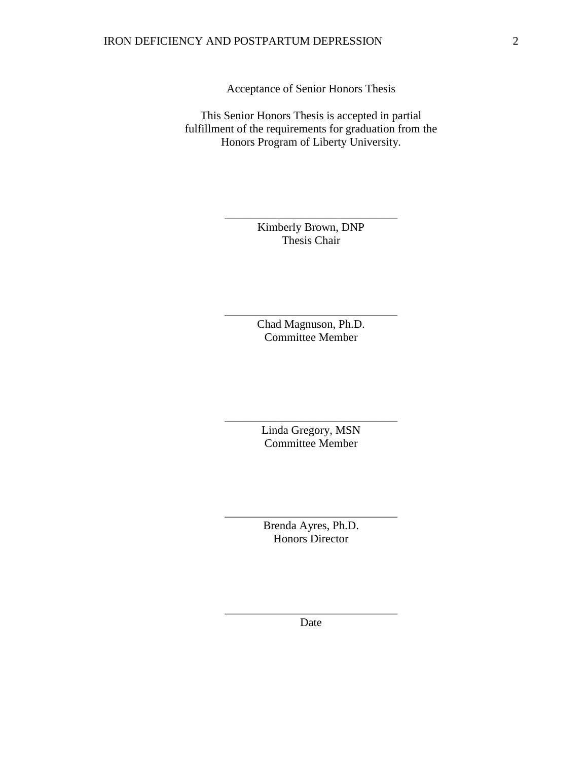Acceptance of Senior Honors Thesis

This Senior Honors Thesis is accepted in partial fulfillment of the requirements for graduation from the Honors Program of Liberty University.

> Kimberly Brown, DNP Thesis Chair

\_\_\_\_\_\_\_\_\_\_\_\_\_\_\_\_\_\_\_\_\_\_\_\_\_\_\_\_\_\_

Chad Magnuson, Ph.D. Committee Member

\_\_\_\_\_\_\_\_\_\_\_\_\_\_\_\_\_\_\_\_\_\_\_\_\_\_\_\_\_\_

Linda Gregory, MSN Committee Member

\_\_\_\_\_\_\_\_\_\_\_\_\_\_\_\_\_\_\_\_\_\_\_\_\_\_\_\_\_\_

Brenda Ayres, Ph.D. Honors Director

\_\_\_\_\_\_\_\_\_\_\_\_\_\_\_\_\_\_\_\_\_\_\_\_\_\_\_\_\_\_

\_\_\_\_\_\_\_\_\_\_\_\_\_\_\_\_\_\_\_\_\_\_\_\_\_\_\_\_\_\_ Date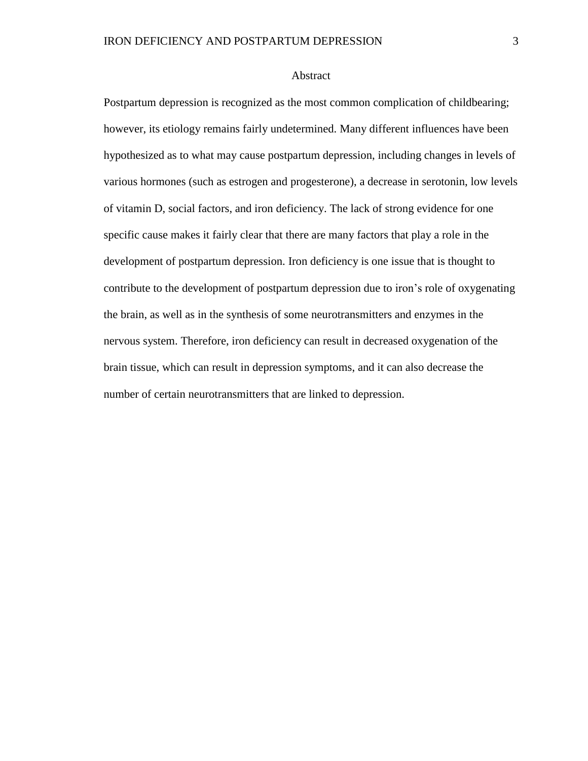#### Abstract

Postpartum depression is recognized as the most common complication of childbearing; however, its etiology remains fairly undetermined. Many different influences have been hypothesized as to what may cause postpartum depression, including changes in levels of various hormones (such as estrogen and progesterone), a decrease in serotonin, low levels of vitamin D, social factors, and iron deficiency. The lack of strong evidence for one specific cause makes it fairly clear that there are many factors that play a role in the development of postpartum depression. Iron deficiency is one issue that is thought to contribute to the development of postpartum depression due to iron's role of oxygenating the brain, as well as in the synthesis of some neurotransmitters and enzymes in the nervous system. Therefore, iron deficiency can result in decreased oxygenation of the brain tissue, which can result in depression symptoms, and it can also decrease the number of certain neurotransmitters that are linked to depression.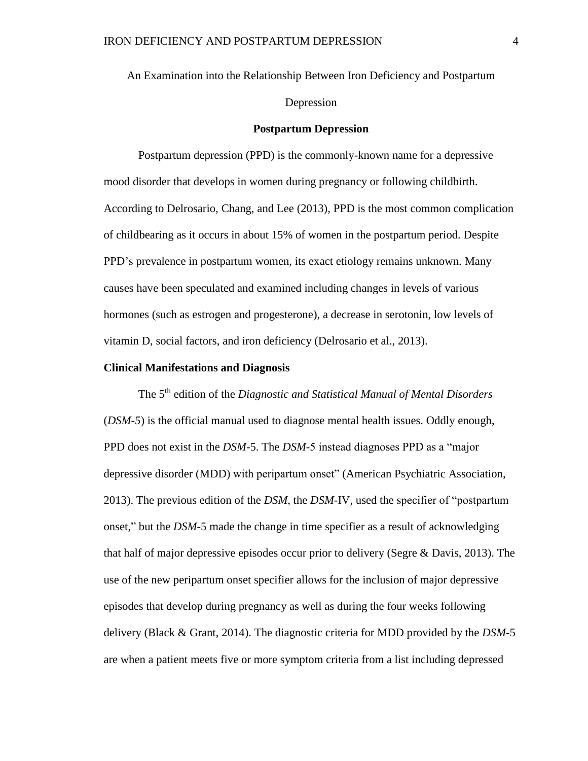An Examination into the Relationship Between Iron Deficiency and Postpartum

## Depression

## **Postpartum Depression**

Postpartum depression (PPD) is the commonly-known name for a depressive mood disorder that develops in women during pregnancy or following childbirth. According to Delrosario, Chang, and Lee (2013), PPD is the most common complication of childbearing as it occurs in about 15% of women in the postpartum period. Despite PPD's prevalence in postpartum women, its exact etiology remains unknown. Many causes have been speculated and examined including changes in levels of various hormones (such as estrogen and progesterone), a decrease in serotonin, low levels of vitamin D, social factors, and iron deficiency (Delrosario et al., 2013).

### **Clinical Manifestations and Diagnosis**

The 5 th edition of the *Diagnostic and Statistical Manual of Mental Disorders* (*DSM-5*) is the official manual used to diagnose mental health issues. Oddly enough, PPD does not exist in the *DSM*-5. The *DSM*-5 instead diagnoses PPD as a "major depressive disorder (MDD) with peripartum onset" (American Psychiatric Association, 2013). The previous edition of the *DSM*, the *DSM*-IV, used the specifier of "postpartum onset," but the *DSM*-5 made the change in time specifier as a result of acknowledging that half of major depressive episodes occur prior to delivery (Segre & Davis, 2013). The use of the new peripartum onset specifier allows for the inclusion of major depressive episodes that develop during pregnancy as well as during the four weeks following delivery (Black & Grant, 2014). The diagnostic criteria for MDD provided by the *DSM*-5 are when a patient meets five or more symptom criteria from a list including depressed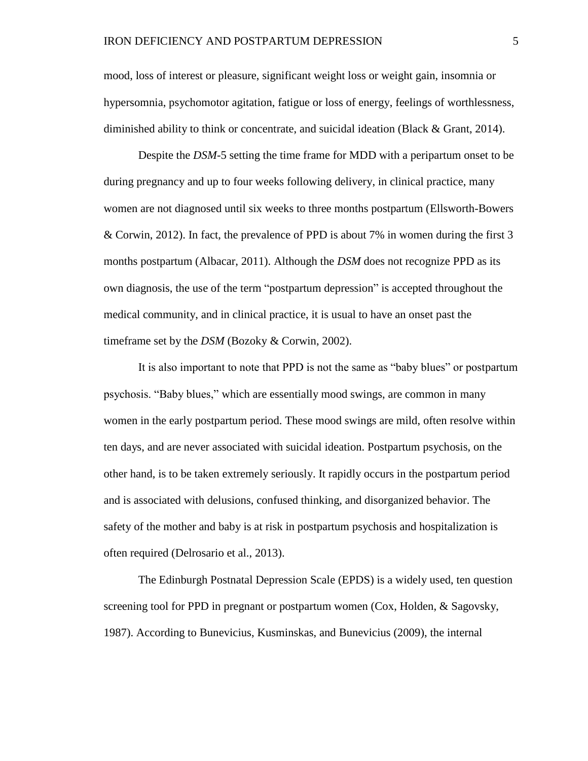mood, loss of interest or pleasure, significant weight loss or weight gain, insomnia or hypersomnia, psychomotor agitation, fatigue or loss of energy, feelings of worthlessness, diminished ability to think or concentrate, and suicidal ideation (Black & Grant, 2014).

Despite the *DSM*-5 setting the time frame for MDD with a peripartum onset to be during pregnancy and up to four weeks following delivery, in clinical practice, many women are not diagnosed until six weeks to three months postpartum (Ellsworth-Bowers & Corwin, 2012). In fact, the prevalence of PPD is about 7% in women during the first 3 months postpartum (Albacar, 2011). Although the *DSM* does not recognize PPD as its own diagnosis, the use of the term "postpartum depression" is accepted throughout the medical community, and in clinical practice, it is usual to have an onset past the timeframe set by the *DSM* (Bozoky & Corwin, 2002).

It is also important to note that PPD is not the same as "baby blues" or postpartum psychosis. "Baby blues," which are essentially mood swings, are common in many women in the early postpartum period. These mood swings are mild, often resolve within ten days, and are never associated with suicidal ideation. Postpartum psychosis, on the other hand, is to be taken extremely seriously. It rapidly occurs in the postpartum period and is associated with delusions, confused thinking, and disorganized behavior. The safety of the mother and baby is at risk in postpartum psychosis and hospitalization is often required (Delrosario et al., 2013).

The Edinburgh Postnatal Depression Scale (EPDS) is a widely used, ten question screening tool for PPD in pregnant or postpartum women (Cox, Holden, & Sagovsky, 1987). According to Bunevicius, Kusminskas, and Bunevicius (2009), the internal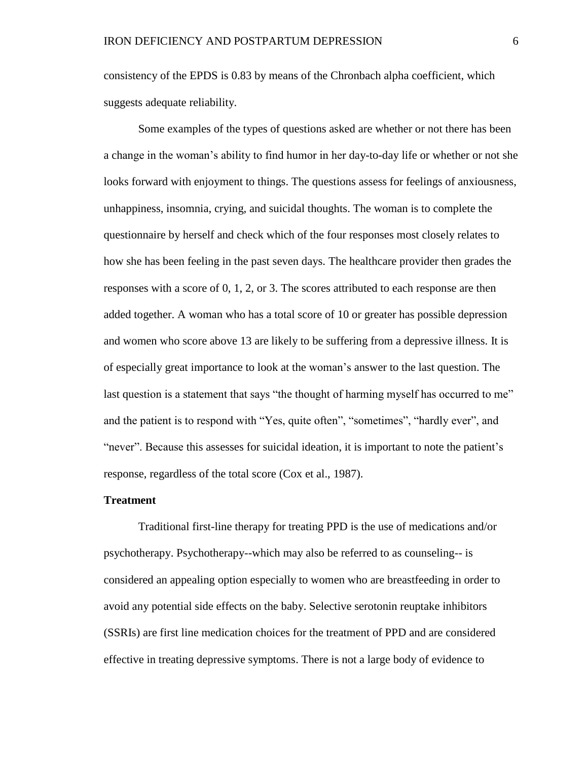consistency of the EPDS is 0.83 by means of the Chronbach alpha coefficient, which suggests adequate reliability.

Some examples of the types of questions asked are whether or not there has been a change in the woman's ability to find humor in her day-to-day life or whether or not she looks forward with enjoyment to things. The questions assess for feelings of anxiousness, unhappiness, insomnia, crying, and suicidal thoughts. The woman is to complete the questionnaire by herself and check which of the four responses most closely relates to how she has been feeling in the past seven days. The healthcare provider then grades the responses with a score of 0, 1, 2, or 3. The scores attributed to each response are then added together. A woman who has a total score of 10 or greater has possible depression and women who score above 13 are likely to be suffering from a depressive illness. It is of especially great importance to look at the woman's answer to the last question. The last question is a statement that says "the thought of harming myself has occurred to me" and the patient is to respond with "Yes, quite often", "sometimes", "hardly ever", and "never". Because this assesses for suicidal ideation, it is important to note the patient's response, regardless of the total score (Cox et al., 1987).

## **Treatment**

Traditional first-line therapy for treating PPD is the use of medications and/or psychotherapy. Psychotherapy--which may also be referred to as counseling-- is considered an appealing option especially to women who are breastfeeding in order to avoid any potential side effects on the baby. Selective serotonin reuptake inhibitors (SSRIs) are first line medication choices for the treatment of PPD and are considered effective in treating depressive symptoms. There is not a large body of evidence to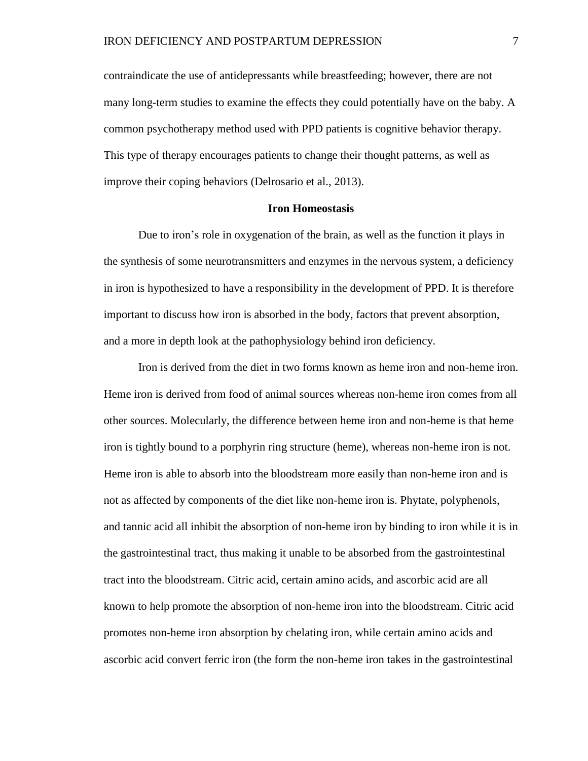contraindicate the use of antidepressants while breastfeeding; however, there are not many long-term studies to examine the effects they could potentially have on the baby. A common psychotherapy method used with PPD patients is cognitive behavior therapy. This type of therapy encourages patients to change their thought patterns, as well as improve their coping behaviors (Delrosario et al., 2013).

## **Iron Homeostasis**

Due to iron's role in oxygenation of the brain, as well as the function it plays in the synthesis of some neurotransmitters and enzymes in the nervous system, a deficiency in iron is hypothesized to have a responsibility in the development of PPD. It is therefore important to discuss how iron is absorbed in the body, factors that prevent absorption, and a more in depth look at the pathophysiology behind iron deficiency.

Iron is derived from the diet in two forms known as heme iron and non-heme iron. Heme iron is derived from food of animal sources whereas non-heme iron comes from all other sources. Molecularly, the difference between heme iron and non-heme is that heme iron is tightly bound to a porphyrin ring structure (heme), whereas non-heme iron is not. Heme iron is able to absorb into the bloodstream more easily than non-heme iron and is not as affected by components of the diet like non-heme iron is. Phytate, polyphenols, and tannic acid all inhibit the absorption of non-heme iron by binding to iron while it is in the gastrointestinal tract, thus making it unable to be absorbed from the gastrointestinal tract into the bloodstream. Citric acid, certain amino acids, and ascorbic acid are all known to help promote the absorption of non-heme iron into the bloodstream. Citric acid promotes non-heme iron absorption by chelating iron, while certain amino acids and ascorbic acid convert ferric iron (the form the non-heme iron takes in the gastrointestinal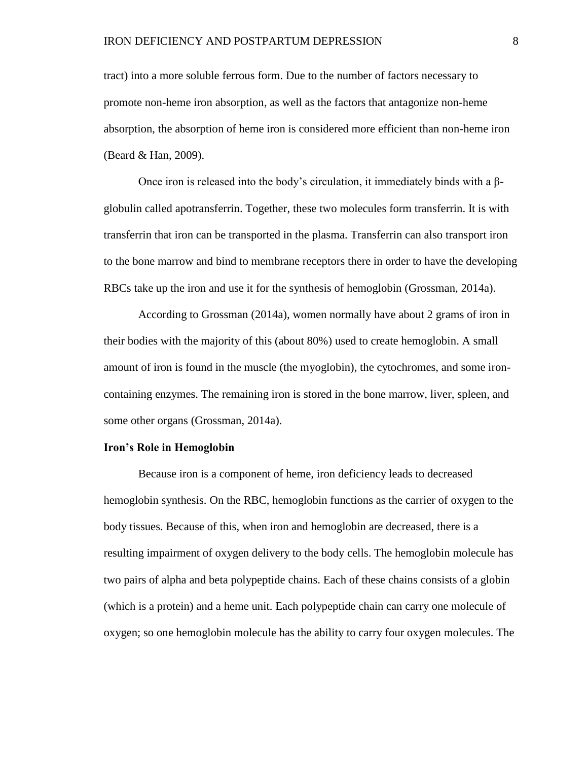tract) into a more soluble ferrous form. Due to the number of factors necessary to promote non-heme iron absorption, as well as the factors that antagonize non-heme absorption, the absorption of heme iron is considered more efficient than non-heme iron (Beard & Han, 2009).

Once iron is released into the body's circulation, it immediately binds with a βglobulin called apotransferrin. Together, these two molecules form transferrin. It is with transferrin that iron can be transported in the plasma. Transferrin can also transport iron to the bone marrow and bind to membrane receptors there in order to have the developing RBCs take up the iron and use it for the synthesis of hemoglobin (Grossman, 2014a).

According to Grossman (2014a), women normally have about 2 grams of iron in their bodies with the majority of this (about 80%) used to create hemoglobin. A small amount of iron is found in the muscle (the myoglobin), the cytochromes, and some ironcontaining enzymes. The remaining iron is stored in the bone marrow, liver, spleen, and some other organs (Grossman, 2014a).

#### **Iron's Role in Hemoglobin**

Because iron is a component of heme, iron deficiency leads to decreased hemoglobin synthesis. On the RBC, hemoglobin functions as the carrier of oxygen to the body tissues. Because of this, when iron and hemoglobin are decreased, there is a resulting impairment of oxygen delivery to the body cells. The hemoglobin molecule has two pairs of alpha and beta polypeptide chains. Each of these chains consists of a globin (which is a protein) and a heme unit. Each polypeptide chain can carry one molecule of oxygen; so one hemoglobin molecule has the ability to carry four oxygen molecules. The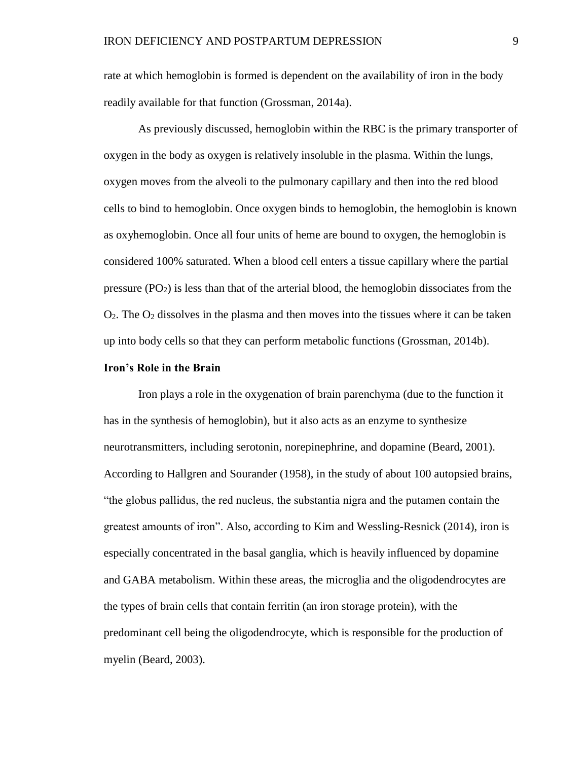rate at which hemoglobin is formed is dependent on the availability of iron in the body readily available for that function (Grossman, 2014a).

As previously discussed, hemoglobin within the RBC is the primary transporter of oxygen in the body as oxygen is relatively insoluble in the plasma. Within the lungs, oxygen moves from the alveoli to the pulmonary capillary and then into the red blood cells to bind to hemoglobin. Once oxygen binds to hemoglobin, the hemoglobin is known as oxyhemoglobin. Once all four units of heme are bound to oxygen, the hemoglobin is considered 100% saturated. When a blood cell enters a tissue capillary where the partial pressure  $(PO<sub>2</sub>)$  is less than that of the arterial blood, the hemoglobin dissociates from the  $O<sub>2</sub>$ . The  $O<sub>2</sub>$  dissolves in the plasma and then moves into the tissues where it can be taken up into body cells so that they can perform metabolic functions (Grossman, 2014b).

## **Iron's Role in the Brain**

Iron plays a role in the oxygenation of brain parenchyma (due to the function it has in the synthesis of hemoglobin), but it also acts as an enzyme to synthesize neurotransmitters, including serotonin, norepinephrine, and dopamine (Beard, 2001). According to Hallgren and Sourander (1958), in the study of about 100 autopsied brains, "the globus pallidus, the red nucleus, the substantia nigra and the putamen contain the greatest amounts of iron". Also, according to Kim and Wessling-Resnick (2014), iron is especially concentrated in the basal ganglia, which is heavily influenced by dopamine and GABA metabolism. Within these areas, the microglia and the oligodendrocytes are the types of brain cells that contain ferritin (an iron storage protein), with the predominant cell being the oligodendrocyte, which is responsible for the production of myelin (Beard, 2003).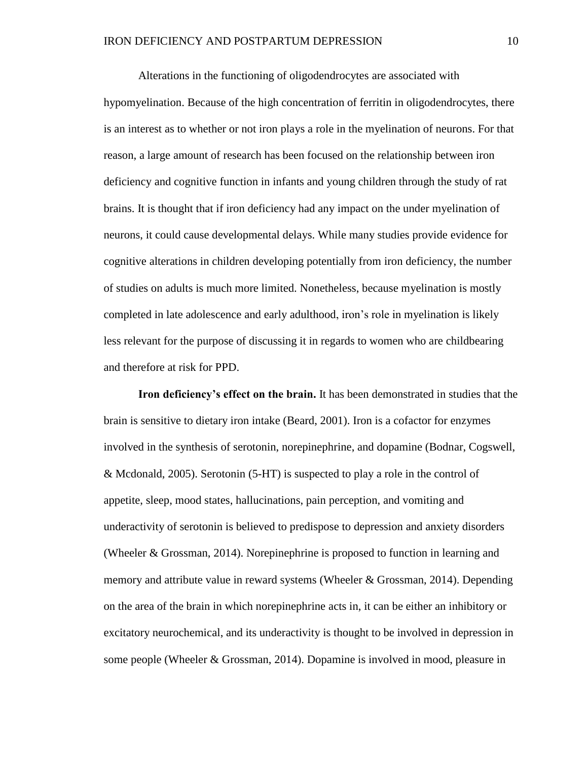Alterations in the functioning of oligodendrocytes are associated with hypomyelination. Because of the high concentration of ferritin in oligodendrocytes, there is an interest as to whether or not iron plays a role in the myelination of neurons. For that reason, a large amount of research has been focused on the relationship between iron deficiency and cognitive function in infants and young children through the study of rat brains. It is thought that if iron deficiency had any impact on the under myelination of neurons, it could cause developmental delays. While many studies provide evidence for cognitive alterations in children developing potentially from iron deficiency, the number of studies on adults is much more limited. Nonetheless, because myelination is mostly completed in late adolescence and early adulthood, iron's role in myelination is likely less relevant for the purpose of discussing it in regards to women who are childbearing and therefore at risk for PPD.

**Iron deficiency's effect on the brain.** It has been demonstrated in studies that the brain is sensitive to dietary iron intake (Beard, 2001). Iron is a cofactor for enzymes involved in the synthesis of serotonin, norepinephrine, and dopamine (Bodnar, Cogswell, & Mcdonald, 2005). Serotonin (5-HT) is suspected to play a role in the control of appetite, sleep, mood states, hallucinations, pain perception, and vomiting and underactivity of serotonin is believed to predispose to depression and anxiety disorders (Wheeler & Grossman, 2014). Norepinephrine is proposed to function in learning and memory and attribute value in reward systems (Wheeler & Grossman, 2014). Depending on the area of the brain in which norepinephrine acts in, it can be either an inhibitory or excitatory neurochemical, and its underactivity is thought to be involved in depression in some people (Wheeler & Grossman, 2014). Dopamine is involved in mood, pleasure in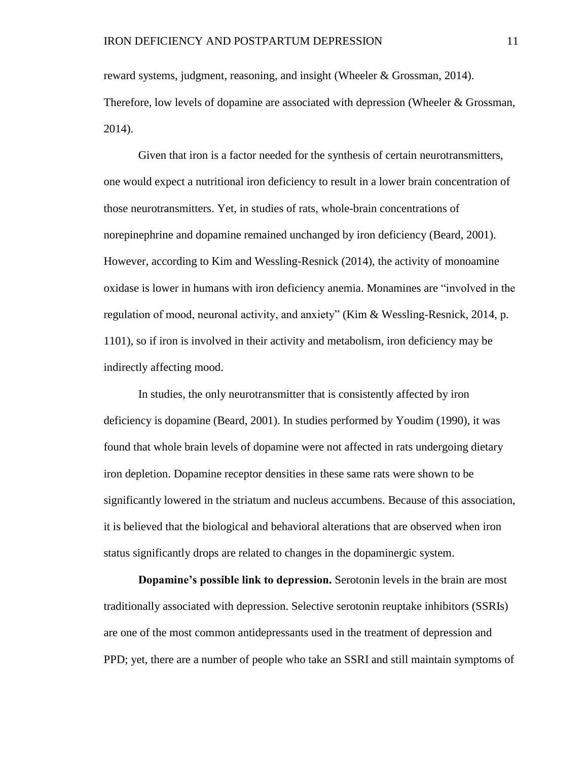reward systems, judgment, reasoning, and insight (Wheeler & Grossman, 2014). Therefore, low levels of dopamine are associated with depression (Wheeler & Grossman, 2014).

Given that iron is a factor needed for the synthesis of certain neurotransmitters, one would expect a nutritional iron deficiency to result in a lower brain concentration of those neurotransmitters. Yet, in studies of rats, whole-brain concentrations of norepinephrine and dopamine remained unchanged by iron deficiency (Beard, 2001). However, according to Kim and Wessling-Resnick (2014), the activity of monoamine oxidase is lower in humans with iron deficiency anemia. Monamines are "involved in the regulation of mood, neuronal activity, and anxiety" (Kim & Wessling-Resnick, 2014, p. 1101), so if iron is involved in their activity and metabolism, iron deficiency may be indirectly affecting mood.

In studies, the only neurotransmitter that is consistently affected by iron deficiency is dopamine (Beard, 2001). In studies performed by Youdim (1990), it was found that whole brain levels of dopamine were not affected in rats undergoing dietary iron depletion. Dopamine receptor densities in these same rats were shown to be significantly lowered in the striatum and nucleus accumbens. Because of this association, it is believed that the biological and behavioral alterations that are observed when iron status significantly drops are related to changes in the dopaminergic system.

**Dopamine's possible link to depression.** Serotonin levels in the brain are most traditionally associated with depression. Selective serotonin reuptake inhibitors (SSRIs) are one of the most common antidepressants used in the treatment of depression and PPD; yet, there are a number of people who take an SSRI and still maintain symptoms of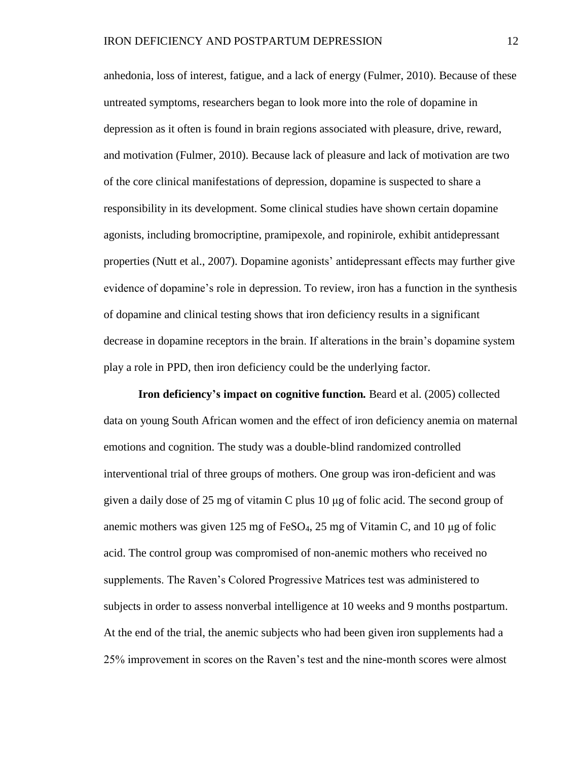anhedonia, loss of interest, fatigue, and a lack of energy (Fulmer, 2010). Because of these untreated symptoms, researchers began to look more into the role of dopamine in depression as it often is found in brain regions associated with pleasure, drive, reward, and motivation (Fulmer, 2010). Because lack of pleasure and lack of motivation are two of the core clinical manifestations of depression, dopamine is suspected to share a responsibility in its development. Some clinical studies have shown certain dopamine agonists, including bromocriptine, pramipexole, and ropinirole, exhibit antidepressant properties (Nutt et al., 2007). Dopamine agonists' antidepressant effects may further give evidence of dopamine's role in depression. To review, iron has a function in the synthesis of dopamine and clinical testing shows that iron deficiency results in a significant decrease in dopamine receptors in the brain. If alterations in the brain's dopamine system play a role in PPD, then iron deficiency could be the underlying factor.

**Iron deficiency's impact on cognitive function***.* Beard et al. (2005) collected data on young South African women and the effect of iron deficiency anemia on maternal emotions and cognition. The study was a double-blind randomized controlled interventional trial of three groups of mothers. One group was iron-deficient and was given a daily dose of 25 mg of vitamin C plus 10 μg of folic acid. The second group of anemic mothers was given 125 mg of FeSO<sub>4</sub>, 25 mg of Vitamin C, and 10  $\mu$ g of folic acid. The control group was compromised of non-anemic mothers who received no supplements. The Raven's Colored Progressive Matrices test was administered to subjects in order to assess nonverbal intelligence at 10 weeks and 9 months postpartum. At the end of the trial, the anemic subjects who had been given iron supplements had a 25% improvement in scores on the Raven's test and the nine-month scores were almost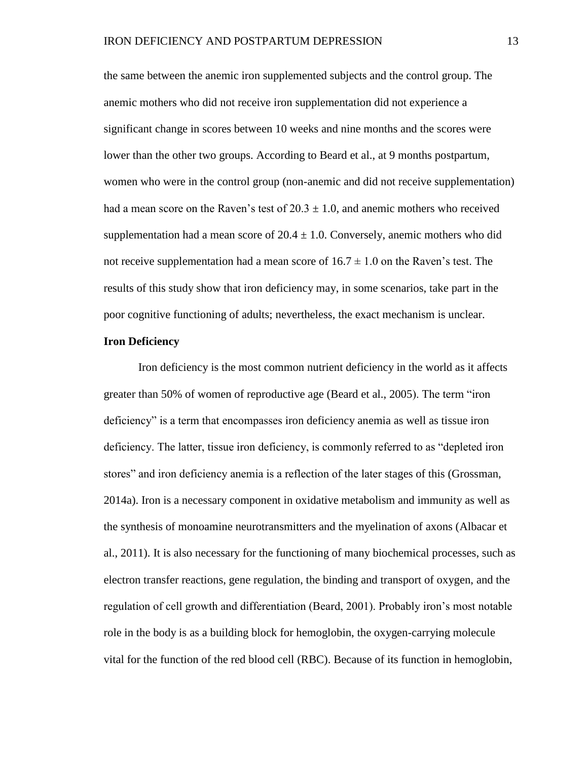the same between the anemic iron supplemented subjects and the control group. The anemic mothers who did not receive iron supplementation did not experience a significant change in scores between 10 weeks and nine months and the scores were lower than the other two groups. According to Beard et al., at 9 months postpartum, women who were in the control group (non-anemic and did not receive supplementation) had a mean score on the Raven's test of  $20.3 \pm 1.0$ , and anemic mothers who received supplementation had a mean score of  $20.4 \pm 1.0$ . Conversely, anemic mothers who did not receive supplementation had a mean score of  $16.7 \pm 1.0$  on the Raven's test. The results of this study show that iron deficiency may, in some scenarios, take part in the poor cognitive functioning of adults; nevertheless, the exact mechanism is unclear.

## **Iron Deficiency**

Iron deficiency is the most common nutrient deficiency in the world as it affects greater than 50% of women of reproductive age (Beard et al., 2005). The term "iron deficiency" is a term that encompasses iron deficiency anemia as well as tissue iron deficiency. The latter, tissue iron deficiency, is commonly referred to as "depleted iron stores" and iron deficiency anemia is a reflection of the later stages of this (Grossman, 2014a). Iron is a necessary component in oxidative metabolism and immunity as well as the synthesis of monoamine neurotransmitters and the myelination of axons (Albacar et al., 2011). It is also necessary for the functioning of many biochemical processes, such as electron transfer reactions, gene regulation, the binding and transport of oxygen, and the regulation of cell growth and differentiation (Beard, 2001). Probably iron's most notable role in the body is as a building block for hemoglobin, the oxygen-carrying molecule vital for the function of the red blood cell (RBC). Because of its function in hemoglobin,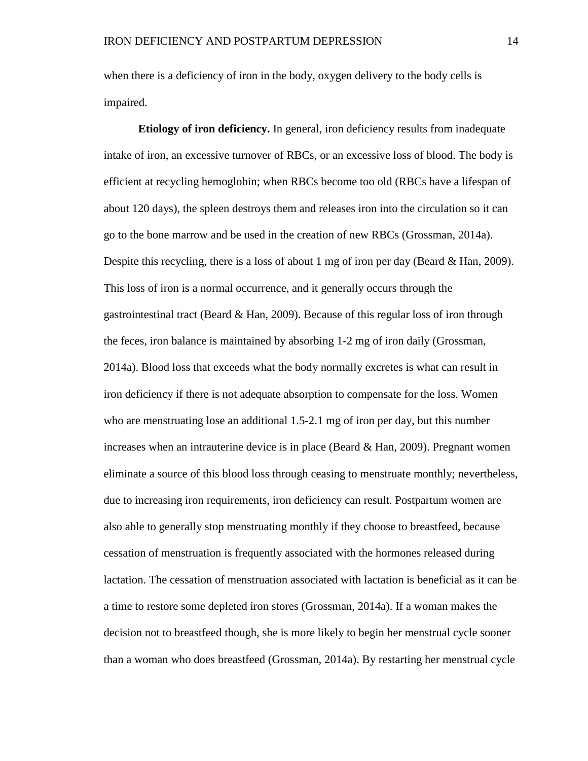when there is a deficiency of iron in the body, oxygen delivery to the body cells is impaired.

**Etiology of iron deficiency.** In general, iron deficiency results from inadequate intake of iron, an excessive turnover of RBCs, or an excessive loss of blood. The body is efficient at recycling hemoglobin; when RBCs become too old (RBCs have a lifespan of about 120 days), the spleen destroys them and releases iron into the circulation so it can go to the bone marrow and be used in the creation of new RBCs (Grossman, 2014a). Despite this recycling, there is a loss of about 1 mg of iron per day (Beard  $\&$  Han, 2009). This loss of iron is a normal occurrence, and it generally occurs through the gastrointestinal tract (Beard & Han, 2009). Because of this regular loss of iron through the feces, iron balance is maintained by absorbing 1-2 mg of iron daily (Grossman, 2014a). Blood loss that exceeds what the body normally excretes is what can result in iron deficiency if there is not adequate absorption to compensate for the loss. Women who are menstruating lose an additional 1.5-2.1 mg of iron per day, but this number increases when an intrauterine device is in place (Beard & Han, 2009). Pregnant women eliminate a source of this blood loss through ceasing to menstruate monthly; nevertheless, due to increasing iron requirements, iron deficiency can result. Postpartum women are also able to generally stop menstruating monthly if they choose to breastfeed, because cessation of menstruation is frequently associated with the hormones released during lactation. The cessation of menstruation associated with lactation is beneficial as it can be a time to restore some depleted iron stores (Grossman, 2014a). If a woman makes the decision not to breastfeed though, she is more likely to begin her menstrual cycle sooner than a woman who does breastfeed (Grossman, 2014a). By restarting her menstrual cycle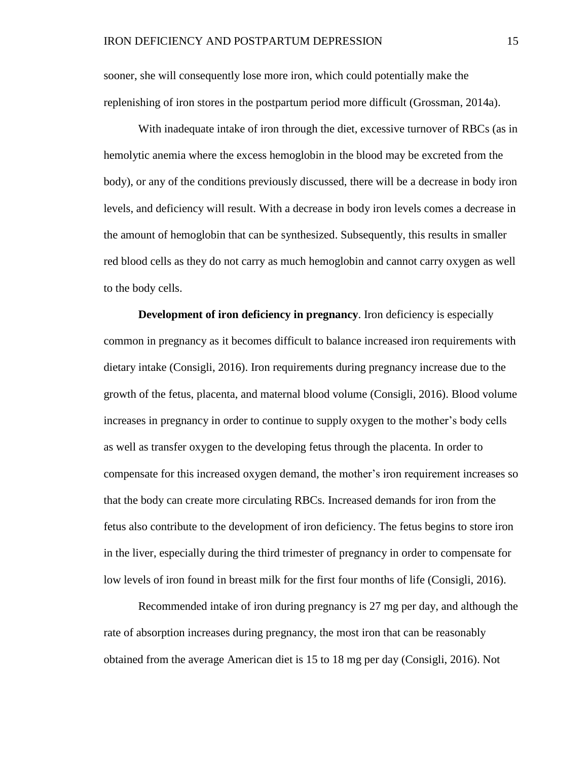sooner, she will consequently lose more iron, which could potentially make the replenishing of iron stores in the postpartum period more difficult (Grossman, 2014a).

With inadequate intake of iron through the diet, excessive turnover of RBCs (as in hemolytic anemia where the excess hemoglobin in the blood may be excreted from the body), or any of the conditions previously discussed, there will be a decrease in body iron levels, and deficiency will result. With a decrease in body iron levels comes a decrease in the amount of hemoglobin that can be synthesized. Subsequently, this results in smaller red blood cells as they do not carry as much hemoglobin and cannot carry oxygen as well to the body cells.

**Development of iron deficiency in pregnancy**. Iron deficiency is especially common in pregnancy as it becomes difficult to balance increased iron requirements with dietary intake (Consigli, 2016). Iron requirements during pregnancy increase due to the growth of the fetus, placenta, and maternal blood volume (Consigli, 2016). Blood volume increases in pregnancy in order to continue to supply oxygen to the mother's body cells as well as transfer oxygen to the developing fetus through the placenta. In order to compensate for this increased oxygen demand, the mother's iron requirement increases so that the body can create more circulating RBCs. Increased demands for iron from the fetus also contribute to the development of iron deficiency. The fetus begins to store iron in the liver, especially during the third trimester of pregnancy in order to compensate for low levels of iron found in breast milk for the first four months of life (Consigli, 2016).

Recommended intake of iron during pregnancy is 27 mg per day, and although the rate of absorption increases during pregnancy, the most iron that can be reasonably obtained from the average American diet is 15 to 18 mg per day (Consigli, 2016). Not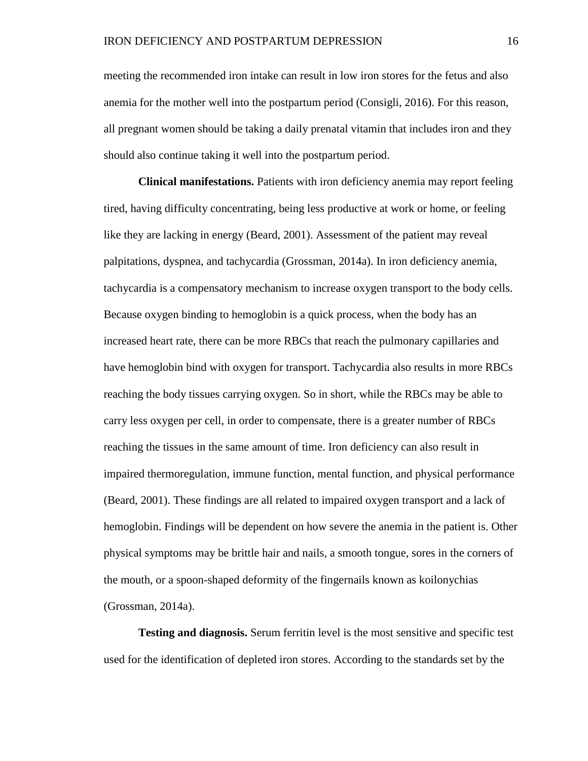meeting the recommended iron intake can result in low iron stores for the fetus and also anemia for the mother well into the postpartum period (Consigli, 2016). For this reason, all pregnant women should be taking a daily prenatal vitamin that includes iron and they should also continue taking it well into the postpartum period.

**Clinical manifestations.** Patients with iron deficiency anemia may report feeling tired, having difficulty concentrating, being less productive at work or home, or feeling like they are lacking in energy (Beard, 2001). Assessment of the patient may reveal palpitations, dyspnea, and tachycardia (Grossman, 2014a). In iron deficiency anemia, tachycardia is a compensatory mechanism to increase oxygen transport to the body cells. Because oxygen binding to hemoglobin is a quick process, when the body has an increased heart rate, there can be more RBCs that reach the pulmonary capillaries and have hemoglobin bind with oxygen for transport. Tachycardia also results in more RBCs reaching the body tissues carrying oxygen. So in short, while the RBCs may be able to carry less oxygen per cell, in order to compensate, there is a greater number of RBCs reaching the tissues in the same amount of time. Iron deficiency can also result in impaired thermoregulation, immune function, mental function, and physical performance (Beard, 2001). These findings are all related to impaired oxygen transport and a lack of hemoglobin. Findings will be dependent on how severe the anemia in the patient is. Other physical symptoms may be brittle hair and nails, a smooth tongue, sores in the corners of the mouth, or a spoon-shaped deformity of the fingernails known as koilonychias (Grossman, 2014a).

**Testing and diagnosis.** Serum ferritin level is the most sensitive and specific test used for the identification of depleted iron stores. According to the standards set by the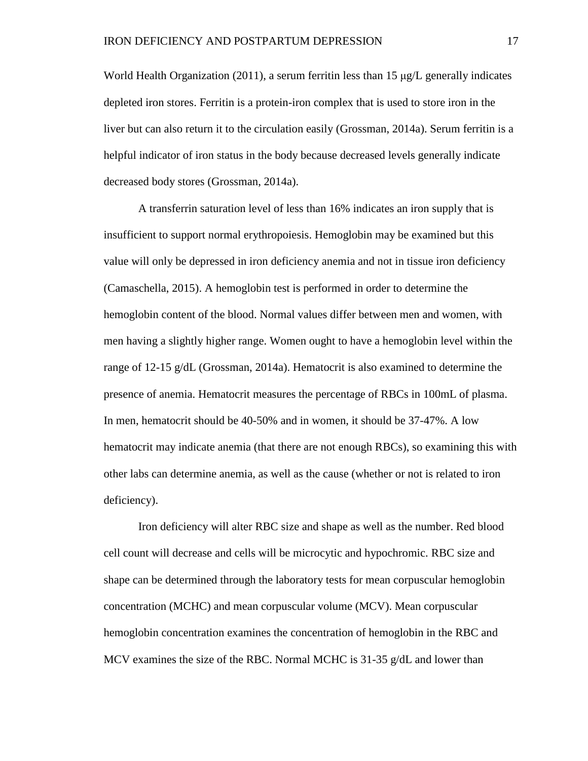World Health Organization (2011), a serum ferritin less than 15  $\mu$ g/L generally indicates depleted iron stores. Ferritin is a protein-iron complex that is used to store iron in the liver but can also return it to the circulation easily (Grossman, 2014a). Serum ferritin is a helpful indicator of iron status in the body because decreased levels generally indicate decreased body stores (Grossman, 2014a).

A transferrin saturation level of less than 16% indicates an iron supply that is insufficient to support normal erythropoiesis. Hemoglobin may be examined but this value will only be depressed in iron deficiency anemia and not in tissue iron deficiency (Camaschella, 2015). A hemoglobin test is performed in order to determine the hemoglobin content of the blood. Normal values differ between men and women, with men having a slightly higher range. Women ought to have a hemoglobin level within the range of 12-15 g/dL (Grossman, 2014a). Hematocrit is also examined to determine the presence of anemia. Hematocrit measures the percentage of RBCs in 100mL of plasma. In men, hematocrit should be 40-50% and in women, it should be 37-47%. A low hematocrit may indicate anemia (that there are not enough RBCs), so examining this with other labs can determine anemia, as well as the cause (whether or not is related to iron deficiency).

Iron deficiency will alter RBC size and shape as well as the number. Red blood cell count will decrease and cells will be microcytic and hypochromic. RBC size and shape can be determined through the laboratory tests for mean corpuscular hemoglobin concentration (MCHC) and mean corpuscular volume (MCV). Mean corpuscular hemoglobin concentration examines the concentration of hemoglobin in the RBC and MCV examines the size of the RBC. Normal MCHC is 31-35 g/dL and lower than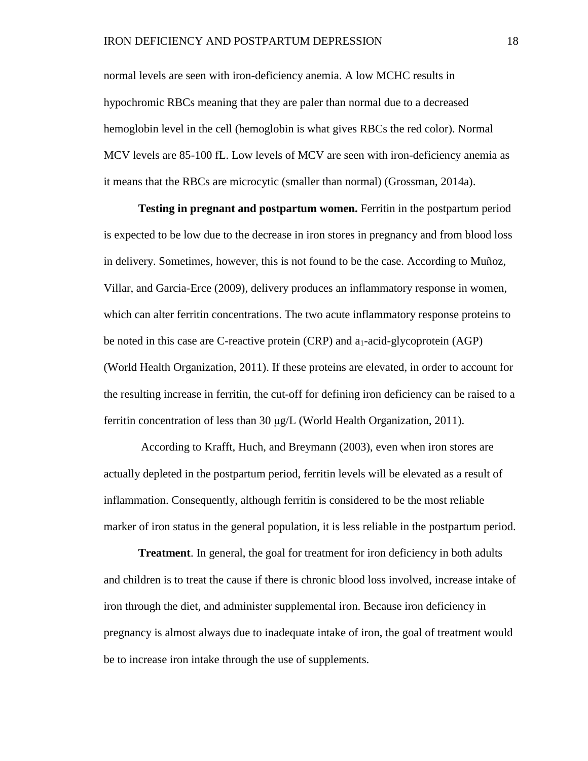normal levels are seen with iron-deficiency anemia. A low MCHC results in hypochromic RBCs meaning that they are paler than normal due to a decreased hemoglobin level in the cell (hemoglobin is what gives RBCs the red color). Normal MCV levels are 85-100 fL. Low levels of MCV are seen with iron-deficiency anemia as it means that the RBCs are microcytic (smaller than normal) (Grossman, 2014a).

**Testing in pregnant and postpartum women.** Ferritin in the postpartum period is expected to be low due to the decrease in iron stores in pregnancy and from blood loss in delivery. Sometimes, however, this is not found to be the case. According to Muñoz, Villar, and Garcia-Erce (2009), delivery produces an inflammatory response in women, which can alter ferritin concentrations. The two acute inflammatory response proteins to be noted in this case are C-reactive protein (CRP) and a<sub>1</sub>-acid-glycoprotein (AGP) (World Health Organization, 2011). If these proteins are elevated, in order to account for the resulting increase in ferritin, the cut-off for defining iron deficiency can be raised to a ferritin concentration of less than 30 μg/L (World Health Organization, 2011).

According to Krafft, Huch, and Breymann (2003), even when iron stores are actually depleted in the postpartum period, ferritin levels will be elevated as a result of inflammation. Consequently, although ferritin is considered to be the most reliable marker of iron status in the general population, it is less reliable in the postpartum period.

**Treatment**. In general, the goal for treatment for iron deficiency in both adults and children is to treat the cause if there is chronic blood loss involved, increase intake of iron through the diet, and administer supplemental iron. Because iron deficiency in pregnancy is almost always due to inadequate intake of iron, the goal of treatment would be to increase iron intake through the use of supplements.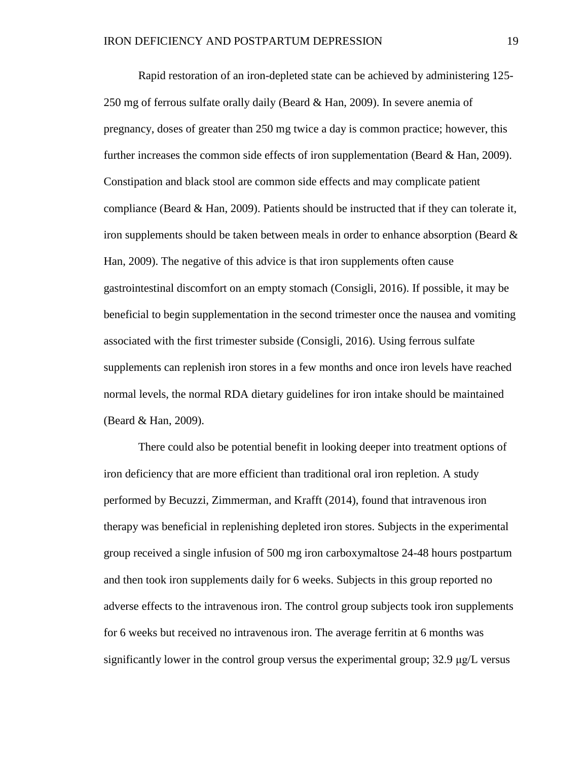Rapid restoration of an iron-depleted state can be achieved by administering 125- 250 mg of ferrous sulfate orally daily (Beard & Han, 2009). In severe anemia of pregnancy, doses of greater than 250 mg twice a day is common practice; however, this further increases the common side effects of iron supplementation (Beard & Han, 2009). Constipation and black stool are common side effects and may complicate patient compliance (Beard & Han, 2009). Patients should be instructed that if they can tolerate it, iron supplements should be taken between meals in order to enhance absorption (Beard  $\&$ Han, 2009). The negative of this advice is that iron supplements often cause gastrointestinal discomfort on an empty stomach (Consigli, 2016). If possible, it may be beneficial to begin supplementation in the second trimester once the nausea and vomiting associated with the first trimester subside (Consigli, 2016). Using ferrous sulfate supplements can replenish iron stores in a few months and once iron levels have reached normal levels, the normal RDA dietary guidelines for iron intake should be maintained (Beard & Han, 2009).

There could also be potential benefit in looking deeper into treatment options of iron deficiency that are more efficient than traditional oral iron repletion. A study performed by Becuzzi, Zimmerman, and Krafft (2014), found that intravenous iron therapy was beneficial in replenishing depleted iron stores. Subjects in the experimental group received a single infusion of 500 mg iron carboxymaltose 24-48 hours postpartum and then took iron supplements daily for 6 weeks. Subjects in this group reported no adverse effects to the intravenous iron. The control group subjects took iron supplements for 6 weeks but received no intravenous iron. The average ferritin at 6 months was significantly lower in the control group versus the experimental group; 32.9 μg/L versus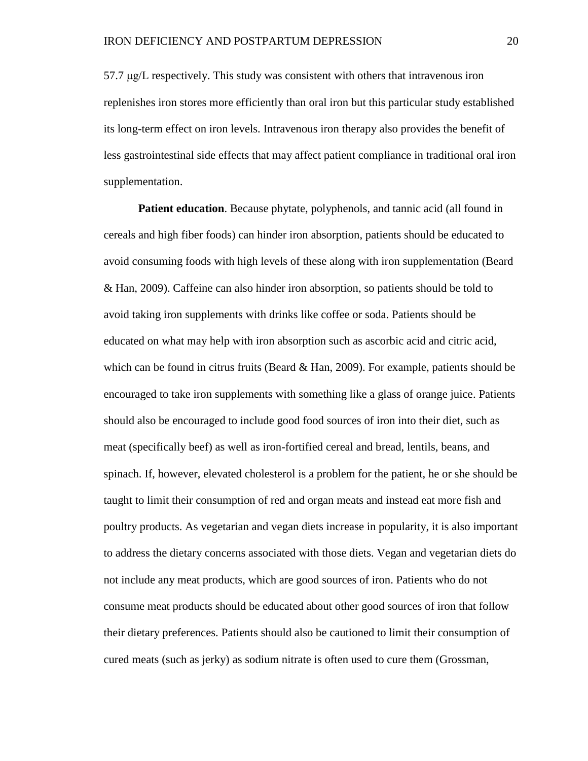57.7 μg/L respectively. This study was consistent with others that intravenous iron replenishes iron stores more efficiently than oral iron but this particular study established its long-term effect on iron levels. Intravenous iron therapy also provides the benefit of less gastrointestinal side effects that may affect patient compliance in traditional oral iron supplementation.

**Patient education**. Because phytate, polyphenols, and tannic acid (all found in cereals and high fiber foods) can hinder iron absorption, patients should be educated to avoid consuming foods with high levels of these along with iron supplementation (Beard & Han, 2009). Caffeine can also hinder iron absorption, so patients should be told to avoid taking iron supplements with drinks like coffee or soda. Patients should be educated on what may help with iron absorption such as ascorbic acid and citric acid, which can be found in citrus fruits (Beard  $&$  Han, 2009). For example, patients should be encouraged to take iron supplements with something like a glass of orange juice. Patients should also be encouraged to include good food sources of iron into their diet, such as meat (specifically beef) as well as iron-fortified cereal and bread, lentils, beans, and spinach. If, however, elevated cholesterol is a problem for the patient, he or she should be taught to limit their consumption of red and organ meats and instead eat more fish and poultry products. As vegetarian and vegan diets increase in popularity, it is also important to address the dietary concerns associated with those diets. Vegan and vegetarian diets do not include any meat products, which are good sources of iron. Patients who do not consume meat products should be educated about other good sources of iron that follow their dietary preferences. Patients should also be cautioned to limit their consumption of cured meats (such as jerky) as sodium nitrate is often used to cure them (Grossman,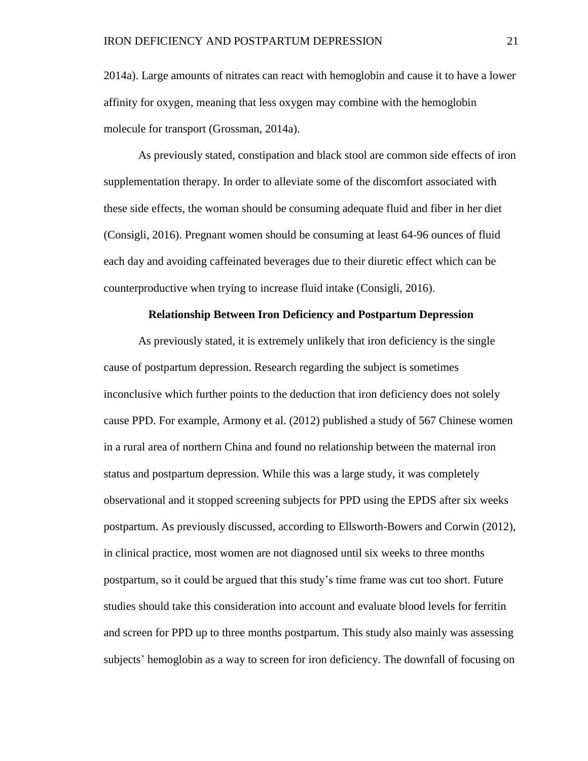2014a). Large amounts of nitrates can react with hemoglobin and cause it to have a lower affinity for oxygen, meaning that less oxygen may combine with the hemoglobin molecule for transport (Grossman, 2014a).

As previously stated, constipation and black stool are common side effects of iron supplementation therapy. In order to alleviate some of the discomfort associated with these side effects, the woman should be consuming adequate fluid and fiber in her diet (Consigli, 2016). Pregnant women should be consuming at least 64-96 ounces of fluid each day and avoiding caffeinated beverages due to their diuretic effect which can be counterproductive when trying to increase fluid intake (Consigli, 2016).

# **Relationship Between Iron Deficiency and Postpartum Depression**

As previously stated, it is extremely unlikely that iron deficiency is the single cause of postpartum depression. Research regarding the subject is sometimes inconclusive which further points to the deduction that iron deficiency does not solely cause PPD. For example, Armony et al. (2012) published a study of 567 Chinese women in a rural area of northern China and found no relationship between the maternal iron status and postpartum depression. While this was a large study, it was completely observational and it stopped screening subjects for PPD using the EPDS after six weeks postpartum. As previously discussed, according to Ellsworth-Bowers and Corwin (2012), in clinical practice, most women are not diagnosed until six weeks to three months postpartum, so it could be argued that this study's time frame was cut too short. Future studies should take this consideration into account and evaluate blood levels for ferritin and screen for PPD up to three months postpartum. This study also mainly was assessing subjects' hemoglobin as a way to screen for iron deficiency. The downfall of focusing on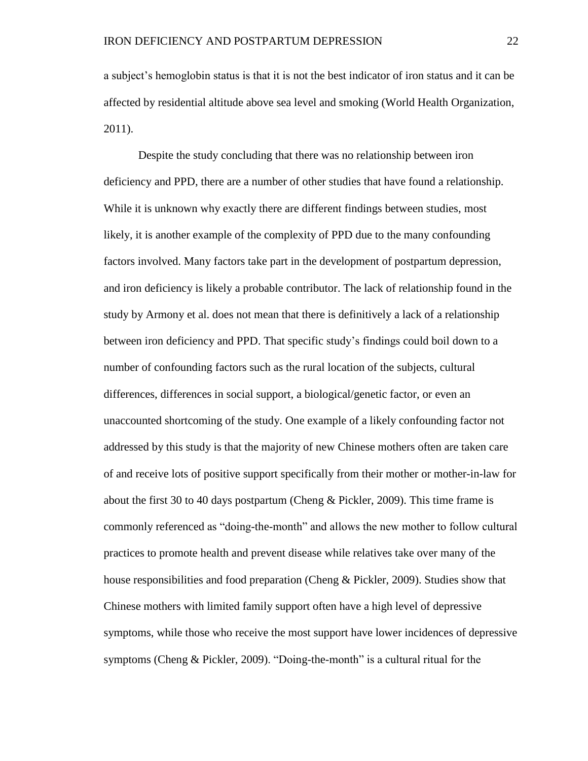a subject's hemoglobin status is that it is not the best indicator of iron status and it can be affected by residential altitude above sea level and smoking (World Health Organization, 2011).

Despite the study concluding that there was no relationship between iron deficiency and PPD, there are a number of other studies that have found a relationship. While it is unknown why exactly there are different findings between studies, most likely, it is another example of the complexity of PPD due to the many confounding factors involved. Many factors take part in the development of postpartum depression, and iron deficiency is likely a probable contributor. The lack of relationship found in the study by Armony et al. does not mean that there is definitively a lack of a relationship between iron deficiency and PPD. That specific study's findings could boil down to a number of confounding factors such as the rural location of the subjects, cultural differences, differences in social support, a biological/genetic factor, or even an unaccounted shortcoming of the study. One example of a likely confounding factor not addressed by this study is that the majority of new Chinese mothers often are taken care of and receive lots of positive support specifically from their mother or mother-in-law for about the first 30 to 40 days postpartum (Cheng  $\&$  Pickler, 2009). This time frame is commonly referenced as "doing-the-month" and allows the new mother to follow cultural practices to promote health and prevent disease while relatives take over many of the house responsibilities and food preparation (Cheng & Pickler, 2009). Studies show that Chinese mothers with limited family support often have a high level of depressive symptoms, while those who receive the most support have lower incidences of depressive symptoms (Cheng & Pickler, 2009). "Doing-the-month" is a cultural ritual for the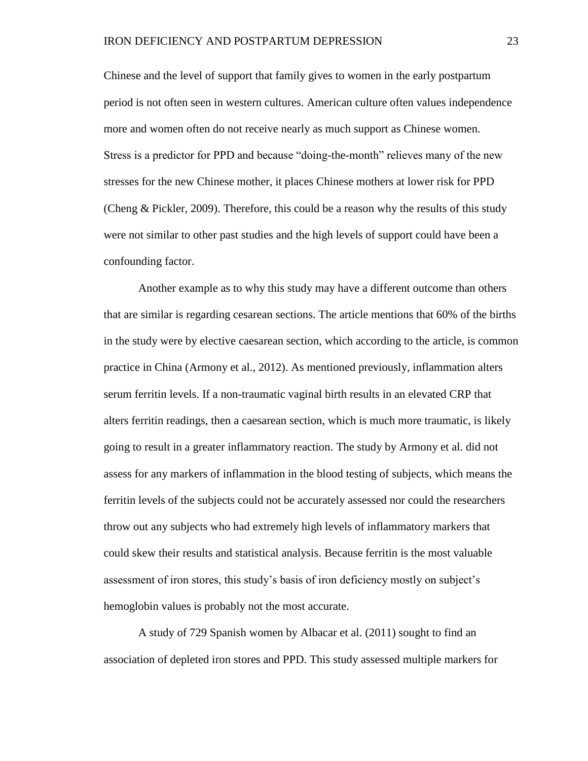Chinese and the level of support that family gives to women in the early postpartum period is not often seen in western cultures. American culture often values independence more and women often do not receive nearly as much support as Chinese women. Stress is a predictor for PPD and because "doing-the-month" relieves many of the new stresses for the new Chinese mother, it places Chinese mothers at lower risk for PPD (Cheng  $&$  Pickler, 2009). Therefore, this could be a reason why the results of this study were not similar to other past studies and the high levels of support could have been a confounding factor.

Another example as to why this study may have a different outcome than others that are similar is regarding cesarean sections. The article mentions that 60% of the births in the study were by elective caesarean section, which according to the article, is common practice in China (Armony et al., 2012). As mentioned previously, inflammation alters serum ferritin levels. If a non-traumatic vaginal birth results in an elevated CRP that alters ferritin readings, then a caesarean section, which is much more traumatic, is likely going to result in a greater inflammatory reaction. The study by Armony et al. did not assess for any markers of inflammation in the blood testing of subjects, which means the ferritin levels of the subjects could not be accurately assessed nor could the researchers throw out any subjects who had extremely high levels of inflammatory markers that could skew their results and statistical analysis. Because ferritin is the most valuable assessment of iron stores, this study's basis of iron deficiency mostly on subject's hemoglobin values is probably not the most accurate.

A study of 729 Spanish women by Albacar et al. (2011) sought to find an association of depleted iron stores and PPD. This study assessed multiple markers for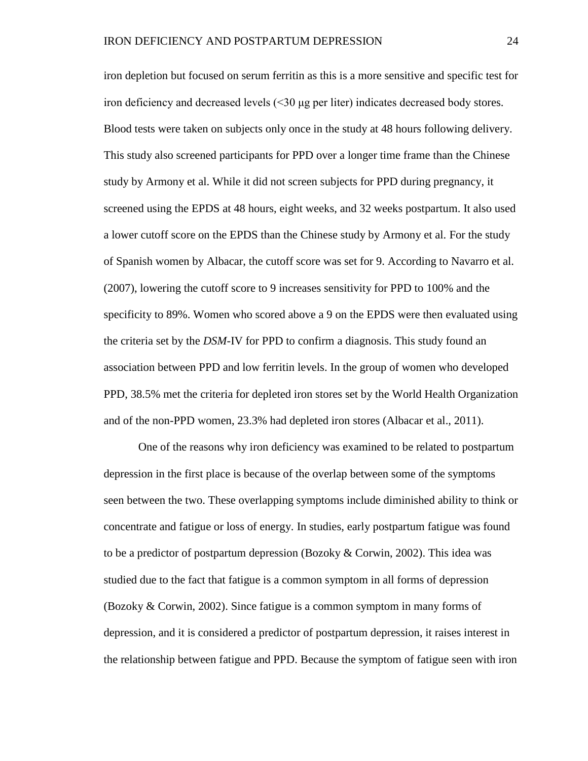iron depletion but focused on serum ferritin as this is a more sensitive and specific test for iron deficiency and decreased levels (<30 μg per liter) indicates decreased body stores. Blood tests were taken on subjects only once in the study at 48 hours following delivery. This study also screened participants for PPD over a longer time frame than the Chinese study by Armony et al. While it did not screen subjects for PPD during pregnancy, it screened using the EPDS at 48 hours, eight weeks, and 32 weeks postpartum. It also used a lower cutoff score on the EPDS than the Chinese study by Armony et al. For the study of Spanish women by Albacar, the cutoff score was set for 9. According to Navarro et al. (2007), lowering the cutoff score to 9 increases sensitivity for PPD to 100% and the specificity to 89%. Women who scored above a 9 on the EPDS were then evaluated using the criteria set by the *DSM*-IV for PPD to confirm a diagnosis. This study found an association between PPD and low ferritin levels. In the group of women who developed PPD, 38.5% met the criteria for depleted iron stores set by the World Health Organization and of the non-PPD women, 23.3% had depleted iron stores (Albacar et al., 2011).

One of the reasons why iron deficiency was examined to be related to postpartum depression in the first place is because of the overlap between some of the symptoms seen between the two. These overlapping symptoms include diminished ability to think or concentrate and fatigue or loss of energy. In studies, early postpartum fatigue was found to be a predictor of postpartum depression (Bozoky & Corwin, 2002). This idea was studied due to the fact that fatigue is a common symptom in all forms of depression (Bozoky & Corwin, 2002). Since fatigue is a common symptom in many forms of depression, and it is considered a predictor of postpartum depression, it raises interest in the relationship between fatigue and PPD. Because the symptom of fatigue seen with iron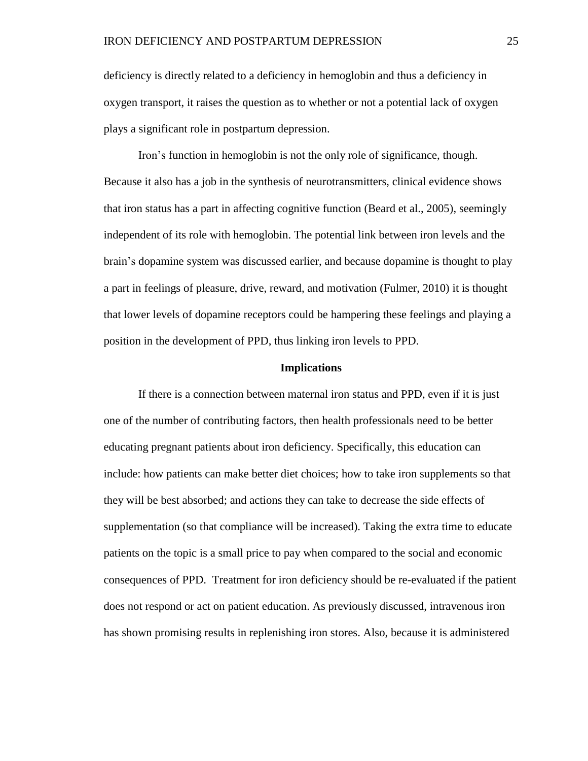deficiency is directly related to a deficiency in hemoglobin and thus a deficiency in oxygen transport, it raises the question as to whether or not a potential lack of oxygen plays a significant role in postpartum depression.

Iron's function in hemoglobin is not the only role of significance, though. Because it also has a job in the synthesis of neurotransmitters, clinical evidence shows that iron status has a part in affecting cognitive function (Beard et al., 2005), seemingly independent of its role with hemoglobin. The potential link between iron levels and the brain's dopamine system was discussed earlier, and because dopamine is thought to play a part in feelings of pleasure, drive, reward, and motivation (Fulmer, 2010) it is thought that lower levels of dopamine receptors could be hampering these feelings and playing a position in the development of PPD, thus linking iron levels to PPD.

#### **Implications**

If there is a connection between maternal iron status and PPD, even if it is just one of the number of contributing factors, then health professionals need to be better educating pregnant patients about iron deficiency. Specifically, this education can include: how patients can make better diet choices; how to take iron supplements so that they will be best absorbed; and actions they can take to decrease the side effects of supplementation (so that compliance will be increased). Taking the extra time to educate patients on the topic is a small price to pay when compared to the social and economic consequences of PPD. Treatment for iron deficiency should be re-evaluated if the patient does not respond or act on patient education. As previously discussed, intravenous iron has shown promising results in replenishing iron stores. Also, because it is administered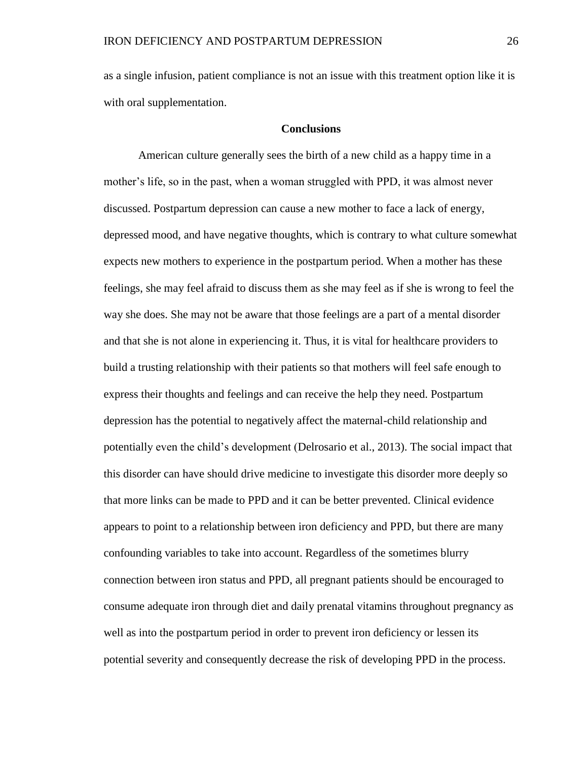as a single infusion, patient compliance is not an issue with this treatment option like it is with oral supplementation.

## **Conclusions**

American culture generally sees the birth of a new child as a happy time in a mother's life, so in the past, when a woman struggled with PPD, it was almost never discussed. Postpartum depression can cause a new mother to face a lack of energy, depressed mood, and have negative thoughts, which is contrary to what culture somewhat expects new mothers to experience in the postpartum period. When a mother has these feelings, she may feel afraid to discuss them as she may feel as if she is wrong to feel the way she does. She may not be aware that those feelings are a part of a mental disorder and that she is not alone in experiencing it. Thus, it is vital for healthcare providers to build a trusting relationship with their patients so that mothers will feel safe enough to express their thoughts and feelings and can receive the help they need. Postpartum depression has the potential to negatively affect the maternal-child relationship and potentially even the child's development (Delrosario et al., 2013). The social impact that this disorder can have should drive medicine to investigate this disorder more deeply so that more links can be made to PPD and it can be better prevented. Clinical evidence appears to point to a relationship between iron deficiency and PPD, but there are many confounding variables to take into account. Regardless of the sometimes blurry connection between iron status and PPD, all pregnant patients should be encouraged to consume adequate iron through diet and daily prenatal vitamins throughout pregnancy as well as into the postpartum period in order to prevent iron deficiency or lessen its potential severity and consequently decrease the risk of developing PPD in the process.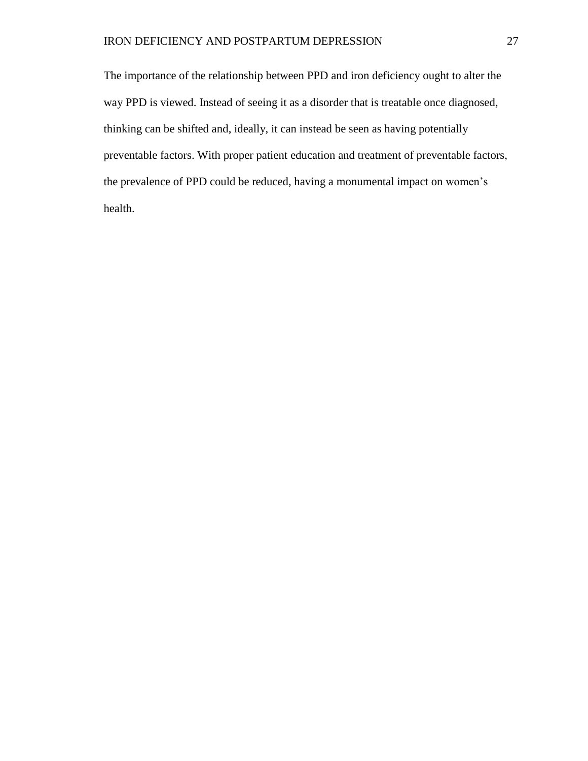The importance of the relationship between PPD and iron deficiency ought to alter the way PPD is viewed. Instead of seeing it as a disorder that is treatable once diagnosed, thinking can be shifted and, ideally, it can instead be seen as having potentially preventable factors. With proper patient education and treatment of preventable factors, the prevalence of PPD could be reduced, having a monumental impact on women's health.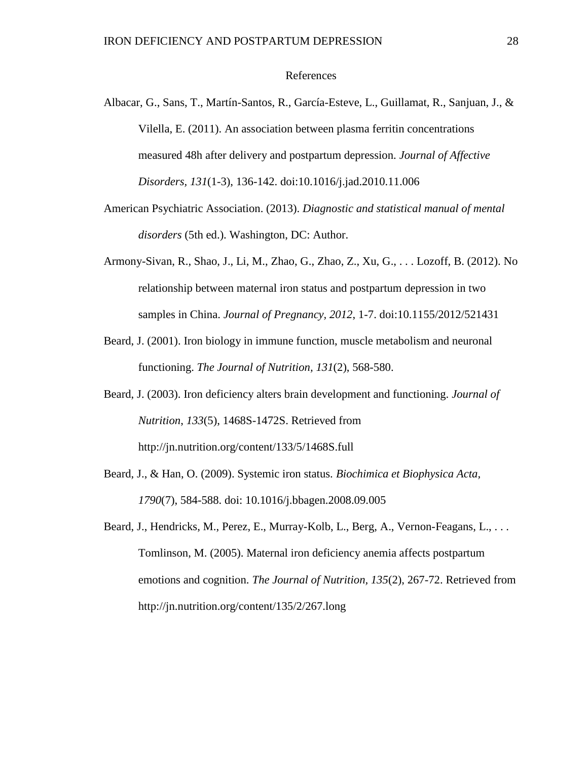#### References

- Albacar, G., Sans, T., Martín-Santos, R., García-Esteve, L., Guillamat, R., Sanjuan, J., & Vilella, E. (2011). An association between plasma ferritin concentrations measured 48h after delivery and postpartum depression. *Journal of Affective Disorders, 131*(1-3), 136-142. doi:10.1016/j.jad.2010.11.006
- American Psychiatric Association. (2013). *Diagnostic and statistical manual of mental disorders* (5th ed.). Washington, DC: Author.
- Armony-Sivan, R., Shao, J., Li, M., Zhao, G., Zhao, Z., Xu, G., . . . Lozoff, B. (2012). No relationship between maternal iron status and postpartum depression in two samples in China. *Journal of Pregnancy, 2012*, 1-7. doi:10.1155/2012/521431
- Beard, J. (2001). Iron biology in immune function, muscle metabolism and neuronal functioning. *The Journal of Nutrition, 131*(2), 568-580.
- Beard, J. (2003). Iron deficiency alters brain development and functioning. *Journal of Nutrition*, *133*(5), 1468S-1472S. Retrieved from http://jn.nutrition.org/content/133/5/1468S.full
- Beard, J., & Han, O. (2009). Systemic iron status. *Biochimica et Biophysica Acta, 1790*(7), 584-588. doi: 10.1016/j.bbagen.2008.09.005
- Beard, J., Hendricks, M., Perez, E., Murray-Kolb, L., Berg, A., Vernon-Feagans, L., ... Tomlinson, M. (2005). Maternal iron deficiency anemia affects postpartum emotions and cognition. *The Journal of Nutrition, 135*(2), 267-72. Retrieved from http://jn.nutrition.org/content/135/2/267.long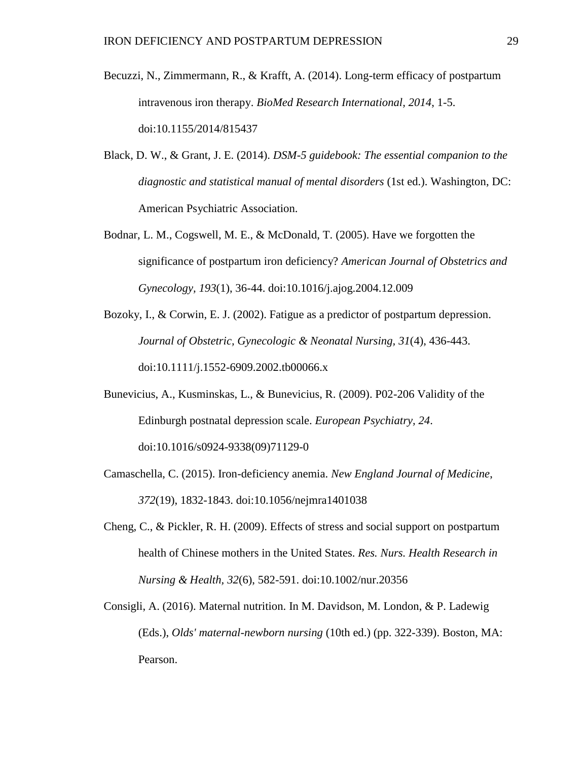- Becuzzi, N., Zimmermann, R., & Krafft, A. (2014). Long-term efficacy of postpartum intravenous iron therapy. *BioMed Research International, 2014*, 1-5. doi:10.1155/2014/815437
- Black, D. W., & Grant, J. E. (2014). *DSM-5 guidebook: The essential companion to the diagnostic and statistical manual of mental disorders* (1st ed.). Washington, DC: American Psychiatric Association.
- Bodnar, L. M., Cogswell, M. E., & McDonald, T. (2005). Have we forgotten the significance of postpartum iron deficiency? *American Journal of Obstetrics and Gynecology, 193*(1), 36-44. doi:10.1016/j.ajog.2004.12.009
- Bozoky, I., & Corwin, E. J. (2002). Fatigue as a predictor of postpartum depression. *Journal of Obstetric, Gynecologic & Neonatal Nursing, 31*(4), 436-443. doi:10.1111/j.1552-6909.2002.tb00066.x
- Bunevicius, A., Kusminskas, L., & Bunevicius, R. (2009). P02-206 Validity of the Edinburgh postnatal depression scale. *European Psychiatry, 24*. doi:10.1016/s0924-9338(09)71129-0
- Camaschella, C. (2015). Iron-deficiency anemia. *New England Journal of Medicine*, *372*(19), 1832-1843. doi:10.1056/nejmra1401038
- Cheng, C., & Pickler, R. H. (2009). Effects of stress and social support on postpartum health of Chinese mothers in the United States. *Res. Nurs. Health Research in Nursing & Health, 32*(6), 582-591. doi:10.1002/nur.20356
- Consigli, A. (2016). Maternal nutrition. In M. Davidson, M. London, & P. Ladewig (Eds.), *Olds' maternal-newborn nursing* (10th ed.) (pp. 322-339). Boston, MA: Pearson.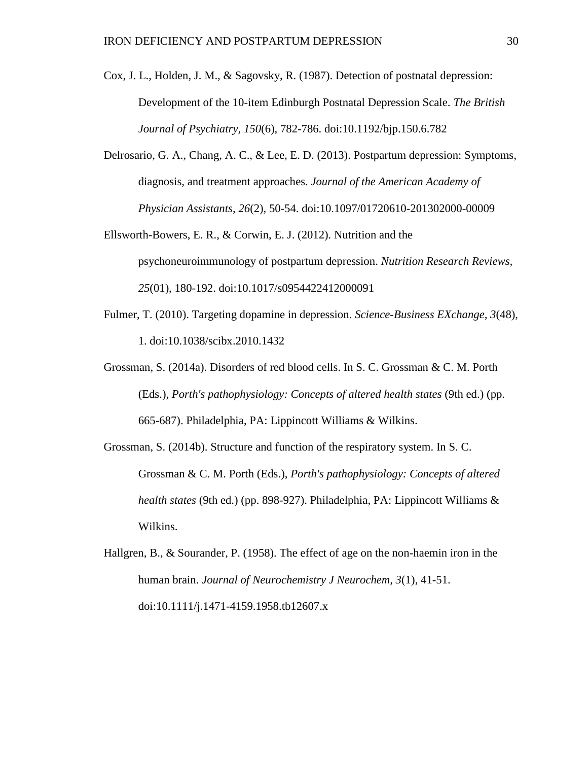- Cox, J. L., Holden, J. M., & Sagovsky, R. (1987). Detection of postnatal depression: Development of the 10-item Edinburgh Postnatal Depression Scale. *The British Journal of Psychiatry, 150*(6), 782-786. doi:10.1192/bjp.150.6.782
- Delrosario, G. A., Chang, A. C., & Lee, E. D. (2013). Postpartum depression: Symptoms, diagnosis, and treatment approaches. *Journal of the American Academy of Physician Assistants, 26*(2), 50-54. doi:10.1097/01720610-201302000-00009
- Ellsworth-Bowers, E. R., & Corwin, E. J. (2012). Nutrition and the psychoneuroimmunology of postpartum depression. *Nutrition Research Reviews, 25*(01), 180-192. doi:10.1017/s0954422412000091
- Fulmer, T. (2010). Targeting dopamine in depression. *Science-Business EXchange, 3*(48), 1. doi:10.1038/scibx.2010.1432
- Grossman, S. (2014a). Disorders of red blood cells. In S. C. Grossman & C. M. Porth (Eds.), *Porth's pathophysiology: Concepts of altered health states* (9th ed.) (pp. 665-687). Philadelphia, PA: Lippincott Williams & Wilkins.
- Grossman, S. (2014b). Structure and function of the respiratory system. In S. C. Grossman & C. M. Porth (Eds.), *Porth's pathophysiology: Concepts of altered health states* (9th ed.) (pp. 898-927). Philadelphia, PA: Lippincott Williams & Wilkins.
- Hallgren, B., & Sourander, P. (1958). The effect of age on the non-haemin iron in the human brain. *Journal of Neurochemistry J Neurochem, 3*(1), 41-51. doi:10.1111/j.1471-4159.1958.tb12607.x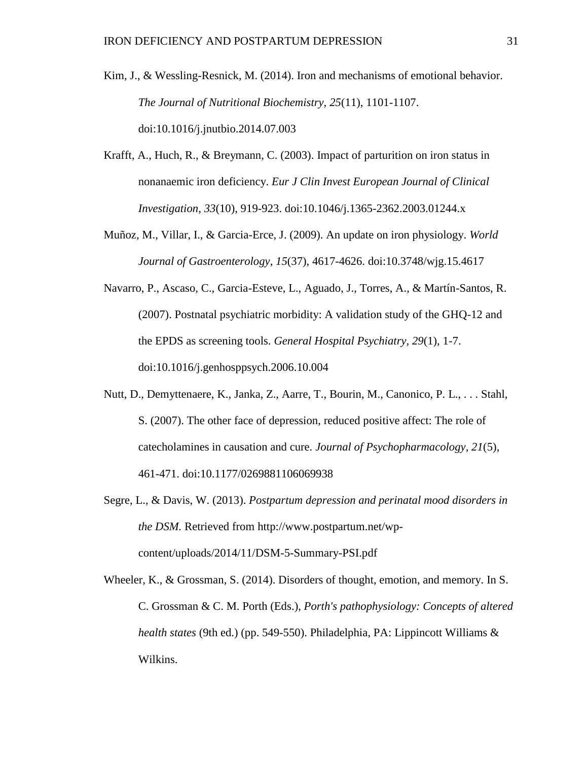- Kim, J., & Wessling-Resnick, M. (2014). Iron and mechanisms of emotional behavior. *The Journal of Nutritional Biochemistry, 25*(11), 1101-1107. doi:10.1016/j.jnutbio.2014.07.003
- Krafft, A., Huch, R., & Breymann, C. (2003). Impact of parturition on iron status in nonanaemic iron deficiency. *Eur J Clin Invest European Journal of Clinical Investigation, 33*(10), 919-923. doi:10.1046/j.1365-2362.2003.01244.x
- Muñoz, M., Villar, I., & Garcia-Erce, J. (2009). An update on iron physiology. *World Journal of Gastroenterology*, *15*(37), 4617-4626. doi:10.3748/wjg.15.4617
- Navarro, P., Ascaso, C., Garcia-Esteve, L., Aguado, J., Torres, A., & Martín-Santos, R. (2007). Postnatal psychiatric morbidity: A validation study of the GHQ-12 and the EPDS as screening tools. *General Hospital Psychiatry, 29*(1), 1-7. doi:10.1016/j.genhosppsych.2006.10.004
- Nutt, D., Demyttenaere, K., Janka, Z., Aarre, T., Bourin, M., Canonico, P. L., . . . Stahl, S. (2007). The other face of depression, reduced positive affect: The role of catecholamines in causation and cure. *Journal of Psychopharmacology, 21*(5), 461-471. doi:10.1177/0269881106069938
- Segre, L., & Davis, W. (2013). *Postpartum depression and perinatal mood disorders in the DSM.* Retrieved from [http://www.postpartum.net/wp](http://www.postpartum.net/wp-content/uploads/2014/11/DSM-5-Summary-PSI.pdf)[content/uploads/2014/11/DSM-5-Summary-PSI.pdf](http://www.postpartum.net/wp-content/uploads/2014/11/DSM-5-Summary-PSI.pdf)
- Wheeler, K., & Grossman, S. (2014). Disorders of thought, emotion, and memory. In S. C. Grossman & C. M. Porth (Eds.), *Porth's pathophysiology: Concepts of altered health states* (9th ed.) (pp. 549-550). Philadelphia, PA: Lippincott Williams & Wilkins.